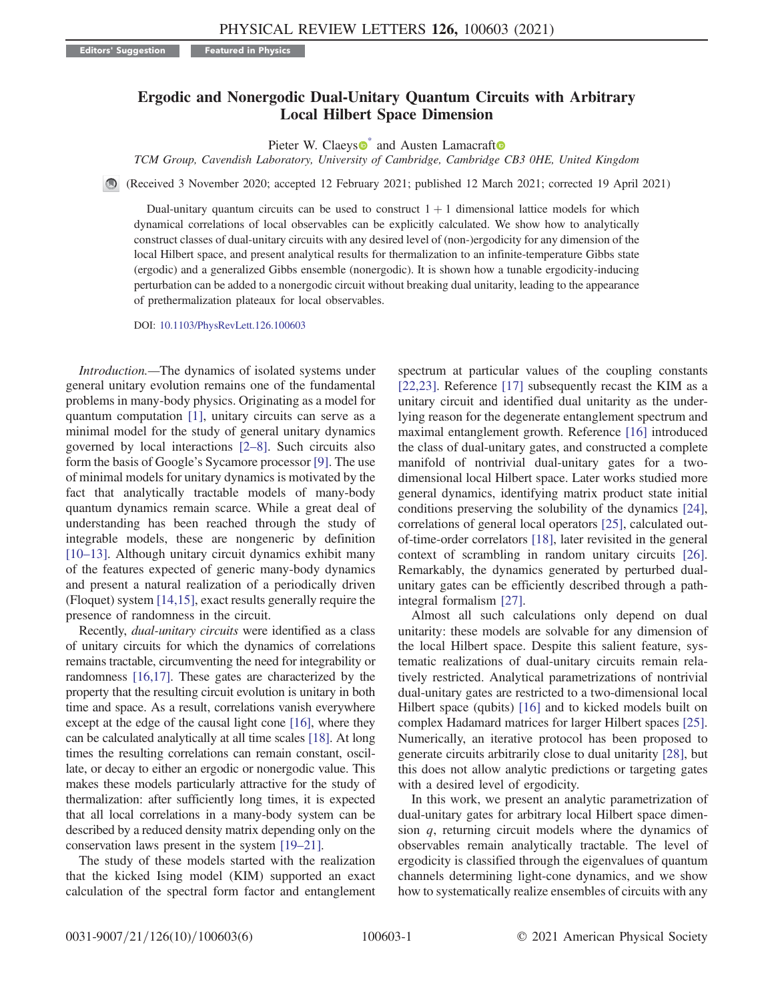## Ergodic and Nonergodic Dual-Unitary Quantum Circuits with Arbitrary Local Hilbert Space Dimension

Pieter W. Claeys<sup>®</sup> and Austen Lamacraft<sup>®</sup>

TCM Group, Cavendish Laboratory, University of Cambridge, Cambridge CB3 0HE, United Kingdom

<span id="page-0-0"></span>(Received 3 November 2020; accepted 12 February 2021; published 12 March 2021; corrected 19 April 2021)

Dual-unitary quantum circuits can be used to construct  $1 + 1$  dimensional lattice models for which dynamical correlations of local observables can be explicitly calculated. We show how to analytically construct classes of dual-unitary circuits with any desired level of (non-)ergodicity for any dimension of the local Hilbert space, and present analytical results for thermalization to an infinite-temperature Gibbs state (ergodic) and a generalized Gibbs ensemble (nonergodic). It is shown how a tunable ergodicity-inducing perturbation can be added to a nonergodic circuit without breaking dual unitarity, leading to the appearance of prethermalization plateaux for local observables.

DOI: [10.1103/PhysRevLett.126.100603](https://doi.org/10.1103/PhysRevLett.126.100603)

Introduction.—The dynamics of isolated systems under general unitary evolution remains one of the fundamental problems in many-body physics. Originating as a model for quantum computation [\[1\],](#page-4-1) unitary circuits can serve as a minimal model for the study of general unitary dynamics governed by local interactions [2–[8\].](#page-4-2) Such circuits also form the basis of Google's Sycamore processor [\[9\]](#page-4-3). The use of minimal models for unitary dynamics is motivated by the fact that analytically tractable models of many-body quantum dynamics remain scarce. While a great deal of understanding has been reached through the study of integrable models, these are nongeneric by definition [\[10](#page-4-4)–13]. Although unitary circuit dynamics exhibit many of the features expected of generic many-body dynamics and present a natural realization of a periodically driven (Floquet) system [\[14,15\]](#page-5-0), exact results generally require the presence of randomness in the circuit.

Recently, dual-unitary circuits were identified as a class of unitary circuits for which the dynamics of correlations remains tractable, circumventing the need for integrability or randomness [\[16,17\].](#page-5-1) These gates are characterized by the property that the resulting circuit evolution is unitary in both time and space. As a result, correlations vanish everywhere except at the edge of the causal light cone [\[16\],](#page-5-1) where they can be calculated analytically at all time scales [\[18\].](#page-5-2) At long times the resulting correlations can remain constant, oscillate, or decay to either an ergodic or nonergodic value. This makes these models particularly attractive for the study of thermalization: after sufficiently long times, it is expected that all local correlations in a many-body system can be described by a reduced density matrix depending only on the conservation laws present in the system [19–[21\].](#page-5-3)

The study of these models started with the realization that the kicked Ising model (KIM) supported an exact calculation of the spectral form factor and entanglement spectrum at particular values of the coupling constants [\[22,23\]](#page-5-4). Reference [\[17\]](#page-5-5) subsequently recast the KIM as a unitary circuit and identified dual unitarity as the underlying reason for the degenerate entanglement spectrum and maximal entanglement growth. Reference [\[16\]](#page-5-1) introduced the class of dual-unitary gates, and constructed a complete manifold of nontrivial dual-unitary gates for a twodimensional local Hilbert space. Later works studied more general dynamics, identifying matrix product state initial conditions preserving the solubility of the dynamics [\[24\]](#page-5-6), correlations of general local operators [\[25\]](#page-5-7), calculated outof-time-order correlators [\[18\],](#page-5-2) later revisited in the general context of scrambling in random unitary circuits [\[26\]](#page-5-8). Remarkably, the dynamics generated by perturbed dualunitary gates can be efficiently described through a pathintegral formalism [\[27\].](#page-5-9)

Almost all such calculations only depend on dual unitarity: these models are solvable for any dimension of the local Hilbert space. Despite this salient feature, systematic realizations of dual-unitary circuits remain relatively restricted. Analytical parametrizations of nontrivial dual-unitary gates are restricted to a two-dimensional local Hilbert space (qubits) [\[16\]](#page-5-1) and to kicked models built on complex Hadamard matrices for larger Hilbert spaces [\[25\]](#page-5-7). Numerically, an iterative protocol has been proposed to generate circuits arbitrarily close to dual unitarity [\[28\]](#page-5-10), but this does not allow analytic predictions or targeting gates with a desired level of ergodicity.

In this work, we present an analytic parametrization of dual-unitary gates for arbitrary local Hilbert space dimension q, returning circuit models where the dynamics of observables remain analytically tractable. The level of ergodicity is classified through the eigenvalues of quantum channels determining light-cone dynamics, and we show how to systematically realize ensembles of circuits with any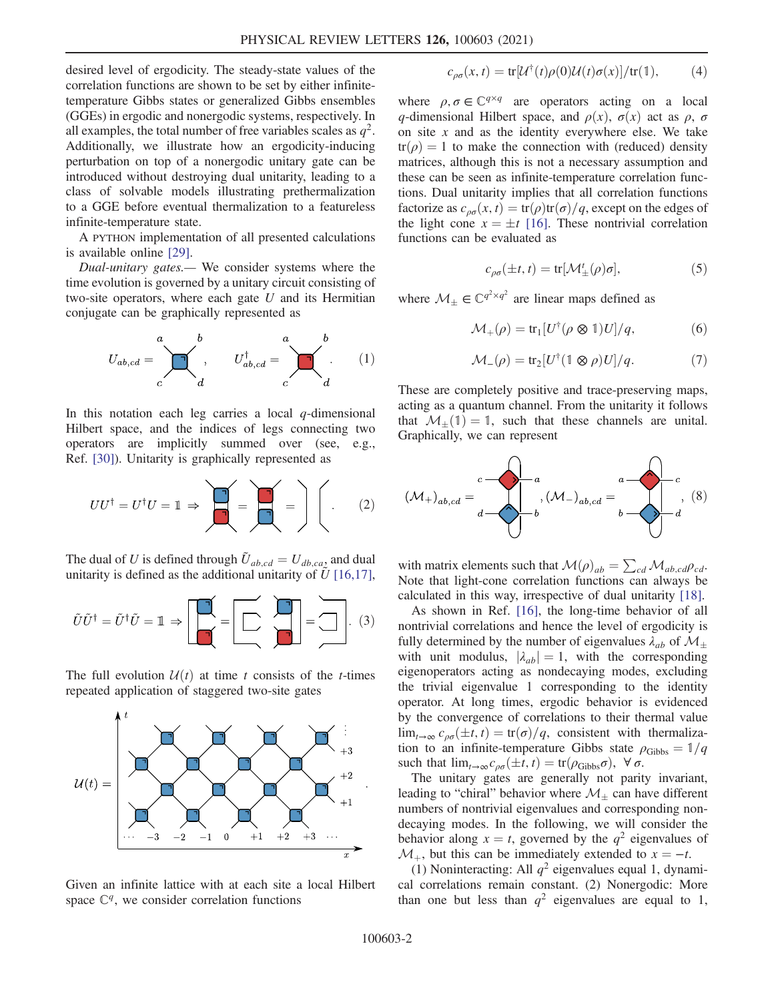desired level of ergodicity. The steady-state values of the correlation functions are shown to be set by either infinitetemperature Gibbs states or generalized Gibbs ensembles (GGEs) in ergodic and nonergodic systems, respectively. In all examples, the total number of free variables scales as  $q^2$ . Additionally, we illustrate how an ergodicity-inducing perturbation on top of a nonergodic unitary gate can be introduced without destroying dual unitarity, leading to a class of solvable models illustrating prethermalization to a GGE before eventual thermalization to a featureless infinite-temperature state.

A PYTHON implementation of all presented calculations is available online [\[29\]](#page-5-11).

Dual-unitary gates.— We consider systems where the time evolution is governed by a unitary circuit consisting of two-site operators, where each gate  $U$  and its Hermitian conjugate can be graphically represented as

$$
U_{ab,cd} = \sum_{c}^{a} \underbrace{U_{ab,cd}^{\dagger}}_{d}, \qquad U_{ab,cd}^{\dagger} = \underbrace{U_{cd}^{b}}_{c}.
$$
 (1)

In this notation each leg carries a local  $q$ -dimensional Hilbert space, and the indices of legs connecting two operators are implicitly summed over (see, e.g., Ref. [\[30\]\)](#page-5-12). Unitarity is graphically represented as

$$
UU^{\dagger} = U^{\dagger}U = \mathbb{1} \Rightarrow \boxed{\mathbb{1} \Rightarrow \mathbb{1} \Rightarrow \mathbb{1} \Rightarrow \mathbb{1} \Rightarrow \mathbb{1} \Rightarrow \mathbb{1} \Rightarrow \mathbb{1} \Rightarrow \mathbb{1} \Rightarrow \mathbb{1} \Rightarrow \mathbb{1} \Rightarrow \mathbb{1} \Rightarrow \mathbb{1} \Rightarrow \mathbb{1} \Rightarrow \mathbb{1} \Rightarrow \mathbb{1} \Rightarrow \mathbb{1} \Rightarrow \mathbb{1} \Rightarrow \mathbb{1} \Rightarrow \mathbb{1} \Rightarrow \mathbb{1} \Rightarrow \mathbb{1} \Rightarrow \mathbb{1} \Rightarrow \mathbb{1} \Rightarrow \mathbb{1} \Rightarrow \mathbb{1} \Rightarrow \mathbb{1} \Rightarrow \mathbb{1} \Rightarrow \mathbb{1} \Rightarrow \mathbb{1} \Rightarrow \mathbb{1} \Rightarrow \mathbb{1} \Rightarrow \mathbb{1} \Rightarrow \mathbb{1} \Rightarrow \mathbb{1} \Rightarrow \mathbb{1} \Rightarrow \mathbb{1} \Rightarrow \mathbb{1} \Rightarrow \mathbb{1} \Rightarrow \mathbb{1} \Rightarrow \mathbb{1} \Rightarrow \mathbb{1} \Rightarrow \mathbb{1} \Rightarrow \mathbb{1} \Rightarrow \mathbb{1} \Rightarrow \mathbb{1} \Rightarrow \mathbb{1} \Rightarrow \mathbb{1} \Rightarrow \mathbb{1} \Rightarrow \mathbb{1} \Rightarrow \mathbb{1} \Rightarrow \mathbb{1} \Rightarrow \mathbb{1} \Rightarrow \mathbb{1} \Rightarrow \mathbb{1} \Rightarrow \mathbb{1} \Rightarrow \mathbb{1} \Rightarrow \mathbb{1} \Rightarrow \mathbb{1} \Rightarrow \mathbb{1} \Rightarrow \mathbb{1} \Rightarrow \mathbb{1} \Rightarrow \mathbb{1} \Rightarrow \mathbb{1} \Rightarrow \mathbb{1} \Rightarrow \mathbb{1} \Rightarrow \mathbb{1} \Rightarrow \mathbb{1} \Rightarrow \mathbb{1} \Rightarrow \mathbb{1} \Rightarrow \mathbb{1} \Rightarrow \mathbb{1} \Rightarrow \mathbb{1} \Rightarrow \mathbb{1} \Rightarrow \mathbb{1} \Rightarrow \mathbb{1} \Rightarrow \mathbb{1} \Rightarrow \mathbb{1} \Rightarrow \mathbb{1} \Rightarrow \mathbb{1} \Rightarrow \mathbb{1} \Rightarrow \mathbb{1} \Rightarrow \mathbb{1} \Rightarrow \mathbb{1} \Rightarrow \mathbb{1} \Rightarrow \mathbb{1} \Rightarrow \mathbb{1} \Rightarrow \mathbb{1} \Rightarrow \mathbb{1} \Rightarrow \mathbb{1} \Rightarrow \mathbb{1} \Rightarrow \mathbb{1} \Rightarrow \mathbb{1}
$$

The dual of U is defined through  $\tilde{U}_{ab,cd} = U_{db,ca}$  and dual unitarity is defined as the additional unitarity of  $\tilde{U}$  [\[16,17\]](#page-5-1),

$$
\tilde{U}\tilde{U}^{\dagger} = \tilde{U}^{\dagger}\tilde{U} = \mathbb{1} \Rightarrow \boxed{\begin{bmatrix} \boxed{\phantom{0}} \\ \boxed{\phantom{0}} \\ \phantom{0} \end{bmatrix}} = \boxed{\begin{bmatrix} \phantom{0} \\ \phantom{0} \\ \phantom{0} \end{bmatrix}} = \boxed{\begin{bmatrix} \phantom{0} \\ \phantom{0} \\ \phantom{0} \end{bmatrix}} = \boxed{\begin{bmatrix} \phantom{0} \\ \phantom{0} \\ \phantom{0} \end{bmatrix}}.
$$
 (3)

The full evolution  $U(t)$  at time t consists of the t-times repeated application of staggered two-site gates



Given an infinite lattice with at each site a local Hilbert space  $\mathbb{C}^q$ , we consider correlation functions

$$
c_{\rho\sigma}(x,t) = \text{tr}[\mathcal{U}^{\dagger}(t)\rho(0)\mathcal{U}(t)\sigma(x)]/\text{tr}(\mathbb{1}), \tag{4}
$$

where  $\rho, \sigma \in \mathbb{C}^{q \times q}$  are operators acting on a local q-dimensional Hilbert space, and  $\rho(x)$ ,  $\sigma(x)$  act as  $\rho$ ,  $\sigma$ on site  $x$  and as the identity everywhere else. We take  $tr(\rho) = 1$  to make the connection with (reduced) density matrices, although this is not a necessary assumption and these can be seen as infinite-temperature correlation functions. Dual unitarity implies that all correlation functions factorize as  $c_{\rho\sigma}(x, t) = \frac{\text{tr}(\rho)\text{tr}(\sigma)}{q}$ , except on the edges of the light cone  $x = \pm t$  [\[16\]](#page-5-1). These nontrivial correlation functions can be evaluated as

$$
c_{\rho\sigma}(\pm t,t) = \text{tr}[\mathcal{M}^t_{\pm}(\rho)\sigma],\tag{5}
$$

where  $\mathcal{M}_{\pm} \in \mathbb{C}^{q^2 \times q^2}$  are linear maps defined as

$$
\mathcal{M}_{+}(\rho) = \text{tr}_{1}[U^{\dagger}(\rho \otimes 1)U]/q, \tag{6}
$$

$$
\mathcal{M}_-(\rho) = \text{tr}_2[U^\dagger(\mathbb{1} \otimes \rho)U]/q. \tag{7}
$$

These are completely positive and trace-preserving maps, acting as a quantum channel. From the unitarity it follows that  $\mathcal{M}_+(1)=1$ , such that these channels are unital. Graphically, we can represent

<span id="page-1-0"></span>

with matrix elements such that  $\mathcal{M}(\rho)_{ab} = \sum_{cd} \mathcal{M}_{ab,cd} \rho_{cd}$ . Note that light-cone correlation functions can always be calculated in this way, irrespective of dual unitarity [\[18\]](#page-5-2).

As shown in Ref. [\[16\],](#page-5-1) the long-time behavior of all nontrivial correlations and hence the level of ergodicity is fully determined by the number of eigenvalues  $\lambda_{ab}$  of  $\mathcal{M}_+$ with unit modulus,  $|\lambda_{ab}| = 1$ , with the corresponding eigenoperators acting as nondecaying modes, excluding the trivial eigenvalue 1 corresponding to the identity operator. At long times, ergodic behavior is evidenced by the convergence of correlations to their thermal value  $\lim_{t\to\infty} c_{\rho\sigma}(\pm t,t) = \frac{\text{tr}(\sigma)}{q}$ , consistent with thermalization to an infinite-temperature Gibbs state  $\rho_{\text{Gibbs}} = \frac{1}{q}$ such that  $\lim_{t\to\infty}c_{\rho\sigma}(\pm t,t)=\text{tr}(\rho_{\text{Gibbs}}\sigma), \ \forall \sigma.$ 

The unitary gates are generally not parity invariant, leading to "chiral" behavior where  $\mathcal{M}_{\pm}$  can have different numbers of nontrivial eigenvalues and corresponding nondecaying modes. In the following, we will consider the behavior along  $x = t$ , governed by the  $q<sup>2</sup>$  eigenvalues of  $\mathcal{M}_+$ , but this can be immediately extended to  $x = -t$ .

(1) Noninteracting: All  $q^2$  eigenvalues equal 1, dynamical correlations remain constant. (2) Nonergodic: More than one but less than  $q^2$  eigenvalues are equal to 1,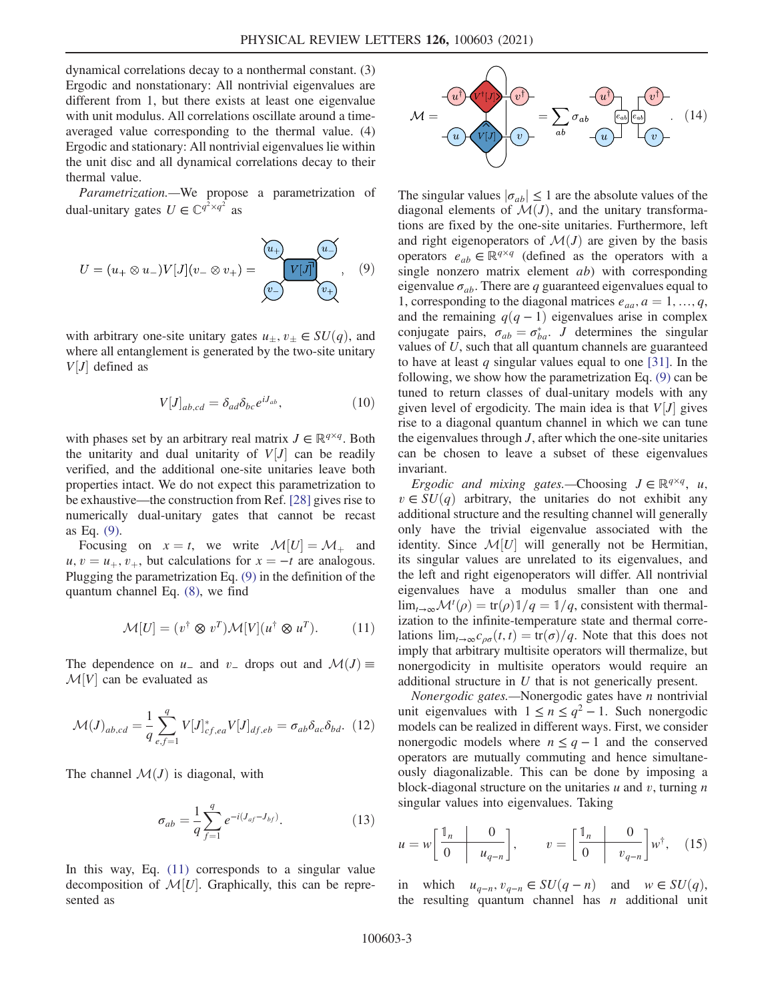dynamical correlations decay to a nonthermal constant. (3) Ergodic and nonstationary: All nontrivial eigenvalues are different from 1, but there exists at least one eigenvalue with unit modulus. All correlations oscillate around a timeaveraged value corresponding to the thermal value. (4) Ergodic and stationary: All nontrivial eigenvalues lie within the unit disc and all dynamical correlations decay to their thermal value.

<span id="page-2-0"></span>Parametrization.—We propose a parametrization of dual-unitary gates  $U \in \mathbb{C}^{q^2 \times q^2}$  as

$$
U = (u_+ \otimes u_-)V[J](v_- \otimes v_+) = \underbrace{\underbrace{\begin{pmatrix} u_+ \\ v_- \end{pmatrix}}_{\begin{pmatrix} v_- \end{pmatrix}} \underbrace{u_-}}_{\begin{pmatrix} v_+ \\ v_+ \end{pmatrix}}, \quad (9)
$$

with arbitrary one-site unitary gates  $u_{\pm}, v_{\pm} \in SU(q)$ , and where all entanglement is generated by the two-site unitary  $V[J]$  defined as

$$
V[J]_{ab,cd} = \delta_{ad}\delta_{bc}e^{iJ_{ab}},\tag{10}
$$

with phases set by an arbitrary real matrix  $J \in \mathbb{R}^{q \times q}$ . Both the unitarity and dual unitarity of  $V[J]$  can be readily verified, and the additional one-site unitaries leave both properties intact. We do not expect this parametrization to be exhaustive—the construction from Ref. [\[28\]](#page-5-10) gives rise to numerically dual-unitary gates that cannot be recast as Eq. [\(9\)](#page-2-0).

<span id="page-2-1"></span>Focusing on  $x = t$ , we write  $\mathcal{M}[U] = \mathcal{M}_+$  and  $u, v = u_+, v_+$ , but calculations for  $x = -t$  are analogous. Plugging the parametrization Eq. [\(9\)](#page-2-0) in the definition of the quantum channel Eq. [\(8\)](#page-1-0), we find

$$
\mathcal{M}[U] = (v^{\dagger} \otimes v^T) \mathcal{M}[V](u^{\dagger} \otimes u^T). \tag{11}
$$

The dependence on  $u_-\$  and  $v_-\$  drops out and  $\mathcal{M}(J) \equiv$  $M[V]$  can be evaluated as

<span id="page-2-2"></span>
$$
\mathcal{M}(J)_{ab,cd} = \frac{1}{q} \sum_{e,f=1}^{q} V[J]_{cf,ea}^{*} V[J]_{df,eb} = \sigma_{ab} \delta_{ac} \delta_{bd}.
$$
 (12)

The channel  $\mathcal{M}(J)$  is diagonal, with

$$
\sigma_{ab} = \frac{1}{q} \sum_{f=1}^{q} e^{-i(J_{af} - J_{bf})}.
$$
 (13)

In this way, Eq. [\(11\)](#page-2-1) corresponds to a singular value decomposition of  $\mathcal{M}[U]$ . Graphically, this can be represented as



The singular values  $|\sigma_{ab}| \leq 1$  are the absolute values of the diagonal elements of  $\mathcal{M}(J)$ , and the unitary transformations are fixed by the one-site unitaries. Furthermore, left and right eigenoperators of  $\mathcal{M}(J)$  are given by the basis operators  $e_{ab} \in \mathbb{R}^{q \times q}$  (defined as the operators with a single nonzero matrix element *ab*) with corresponding eigenvalue  $\sigma_{ab}$ . There are q guaranteed eigenvalues equal to 1, corresponding to the diagonal matrices  $e_{aa}$ ,  $a = 1, ..., q$ , and the remaining  $q(q - 1)$  eigenvalues arise in complex conjugate pairs,  $\sigma_{ab} = \sigma_{ba}^*$ . J determines the singular values of  $U$ , such that all quantum channels are guaranteed to have at least q singular values equal to one [\[31\].](#page-5-13) In the following, we show how the parametrization Eq. [\(9\)](#page-2-0) can be tuned to return classes of dual-unitary models with any given level of ergodicity. The main idea is that  $V[J]$  gives rise to a diagonal quantum channel in which we can tune the eigenvalues through  $J$ , after which the one-site unitaries can be chosen to leave a subset of these eigenvalues invariant.

Ergodic and mixing gates.—Choosing  $J \in \mathbb{R}^{q \times q}$ , u,  $v \in SU(q)$  arbitrary, the unitaries do not exhibit any additional structure and the resulting channel will generally only have the trivial eigenvalue associated with the identity. Since  $\mathcal{M}[U]$  will generally not be Hermitian, its singular values are unrelated to its eigenvalues, and the left and right eigenoperators will differ. All nontrivial eigenvalues have a modulus smaller than one and  $\lim_{t\to\infty} \mathcal{M}^t(\rho) = \text{tr}(\rho) \mathbb{1}/q = \mathbb{1}/q$ , consistent with thermalization to the infinite-temperature state and thermal correlations  $\lim_{t\to\infty}c_{\rho\sigma}(t,t)=\frac{\text{tr}(\sigma)}{q}$ . Note that this does not imply that arbitrary multisite operators will thermalize, but nonergodicity in multisite operators would require an additional structure in U that is not generically present.

Nonergodic gates.—Nonergodic gates have  $n$  nontrivial unit eigenvalues with  $1 \le n \le q^2 - 1$ . Such nonergodic models can be realized in different ways. First, we consider nonergodic models where  $n \leq q - 1$  and the conserved operators are mutually commuting and hence simultaneously diagonalizable. This can be done by imposing a block-diagonal structure on the unitaries  $u$  and  $v$ , turning  $n$ singular values into eigenvalues. Taking

<span id="page-2-3"></span>
$$
u = w \left[ \begin{array}{c|c} \mathbb{1}_n & 0 \\ \hline 0 & u_{q-n} \end{array} \right], \qquad v = \left[ \begin{array}{c|c} \mathbb{1}_n & 0 \\ \hline 0 & v_{q-n} \end{array} \right] w^\dagger, \quad (15)
$$

in which  $u_{q-n}, v_{q-n} \in SU(q-n)$  and  $w \in SU(q)$ , the resulting quantum channel has  $n$  additional unit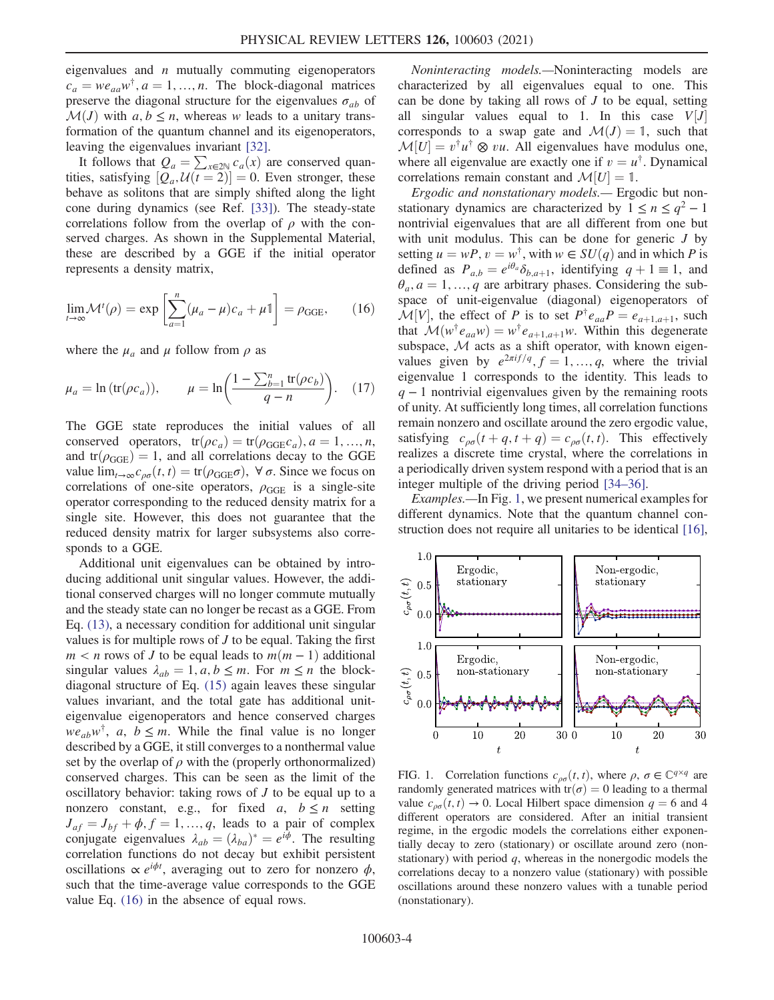eigenvalues and  $n$  mutually commuting eigenoperators  $c_a = we_{aa}w^{\dagger}, a = 1, ..., n$ . The block-diagonal matrices preserve the diagonal structure for the eigenvalues  $\sigma_{ab}$  of  $\mathcal{M}(J)$  with  $a, b \leq n$ , whereas w leads to a unitary transformation of the quantum channel and its eigenoperators, leaving the eigenvalues invariant [\[32\].](#page-5-14)

It follows that  $Q_a = \sum_{x \in 2N} c_a(x)$  are conserved quantities, satisfying  $[Q_a, U(t=2)] = 0$ . Even stronger, these behave as solitons that are simply shifted along the light cone during dynamics (see Ref. [\[33\]\)](#page-5-15). The steady-state correlations follow from the overlap of  $\rho$  with the conserved charges. As shown in the Supplemental Material, these are described by a GGE if the initial operator represents a density matrix,

<span id="page-3-0"></span>
$$
\lim_{t \to \infty} \mathcal{M}^t(\rho) = \exp\left[\sum_{a=1}^n (\mu_a - \mu)c_a + \mu \mathbb{1}\right] = \rho_{\text{GGE}},\qquad(16)
$$

where the  $\mu_a$  and  $\mu$  follow from  $\rho$  as

$$
\mu_a = \ln(\text{tr}(\rho c_a)), \qquad \mu = \ln\left(\frac{1 - \sum_{b=1}^n \text{tr}(\rho c_b)}{q - n}\right). \tag{17}
$$

The GGE state reproduces the initial values of all conserved operators,  $tr(\rho c_a) = tr(\rho_{GGE} c_a), a = 1, ..., n$ , and  $tr(\rho_{GGE}) = 1$ , and all correlations decay to the GGE value  $\lim_{t\to\infty}c_{\rho\sigma}(t,t) = \text{tr}(\rho_{\text{GGE}}\sigma)$ ,  $\forall \sigma$ . Since we focus on correlations of one-site operators,  $\rho_{\text{GGE}}$  is a single-site operator corresponding to the reduced density matrix for a single site. However, this does not guarantee that the reduced density matrix for larger subsystems also corresponds to a GGE.

Additional unit eigenvalues can be obtained by introducing additional unit singular values. However, the additional conserved charges will no longer commute mutually and the steady state can no longer be recast as a GGE. From Eq. [\(13\)](#page-2-2), a necessary condition for additional unit singular values is for multiple rows of  $J$  to be equal. Taking the first  $m < n$  rows of J to be equal leads to  $m(m - 1)$  additional singular values  $\lambda_{ab} = 1, a, b \le m$ . For  $m \le n$  the blockdiagonal structure of Eq. [\(15\)](#page-2-3) again leaves these singular values invariant, and the total gate has additional uniteigenvalue eigenoperators and hence conserved charges  $we_{ab}w^{\dagger}$ , a,  $b \leq m$ . While the final value is no longer described by a GGE, it still converges to a nonthermal value set by the overlap of  $\rho$  with the (properly orthonormalized) conserved charges. This can be seen as the limit of the oscillatory behavior: taking rows of J to be equal up to a nonzero constant, e.g., for fixed a,  $b \le n$  setting  $J_{af} = J_{bf} + \phi, f = 1, ..., q$ , leads to a pair of complex conjugate eigenvalues  $\lambda_{ab} = (\lambda_{ba})^* = e^{i\phi}$ . The resulting correlation functions do not decay but exhibit persistent oscillations  $\propto e^{i\phi t}$ , averaging out to zero for nonzero  $\phi$ , such that the time-average value corresponds to the GGE value Eq. [\(16\)](#page-3-0) in the absence of equal rows.

Noninteracting models.—Noninteracting models are characterized by all eigenvalues equal to one. This can be done by taking all rows of  $J$  to be equal, setting all singular values equal to 1. In this case  $V[J]$ corresponds to a swap gate and  $\mathcal{M}(J) = 1$ , such that  $M[U] = v^{\dagger}u^{\dagger} \otimes vu$ . All eigenvalues have modulus one, where all eigenvalue are exactly one if  $v = u^{\dagger}$ . Dynamical correlations remain constant and  $\mathcal{M}[U] = 1$ .

Ergodic and nonstationary models.— Ergodic but nonstationary dynamics are characterized by  $1 \le n \le q^2 - 1$ nontrivial eigenvalues that are all different from one but with unit modulus. This can be done for generic  $J$  by setting  $u = wP$ ,  $v = w^{\dagger}$ , with  $w \in SU(q)$  and in which P is defined as  $P_{a,b} = e^{i\theta_a} \delta_{b,a+1}$ , identifying  $q + 1 \equiv 1$ , and  $\theta_a$ ,  $a = 1, ..., q$  are arbitrary phases. Considering the subspace of unit-eigenvalue (diagonal) eigenoperators of  $\mathcal{M}[V]$ , the effect of P is to set  $P^{\dagger}e_{aa}P = e_{a+1,a+1}$ , such that  $\mathcal{M}(w^{\dagger}e_{aa}w) = w^{\dagger}e_{a+1,a+1}w$ . Within this degenerate subspace,  $M$  acts as a shift operator, with known eigenvalues given by  $e^{2\pi i f/q}$ ,  $f = 1, ..., q$ , where the trivial eigenvalue 1 corresponds to the identity. This leads to  $q - 1$  nontrivial eigenvalues given by the remaining roots of unity. At sufficiently long times, all correlation functions remain nonzero and oscillate around the zero ergodic value, satisfying  $c_{\rho\sigma}(t + q, t + q) = c_{\rho\sigma}(t, t)$ . This effectively realizes a discrete time crystal, where the correlations in a periodically driven system respond with a period that is an integer multiple of the driving period [34–[36\].](#page-5-16)

Examples.—In Fig. [1](#page-3-1), we present numerical examples for different dynamics. Note that the quantum channel construction does not require all unitaries to be identical [\[16\]](#page-5-1),

<span id="page-3-1"></span>

FIG. 1. Correlation functions  $c_{\rho\sigma}(t, t)$ , where  $\rho, \sigma \in \mathbb{C}^{q \times q}$  are randomly generated matrices with  $tr(\sigma) = 0$  leading to a thermal value  $c_{\rho\sigma}(t, t) \rightarrow 0$ . Local Hilbert space dimension  $q = 6$  and 4 different operators are considered. After an initial transient regime, in the ergodic models the correlations either exponentially decay to zero (stationary) or oscillate around zero (nonstationary) with period  $q$ , whereas in the nonergodic models the correlations decay to a nonzero value (stationary) with possible oscillations around these nonzero values with a tunable period (nonstationary).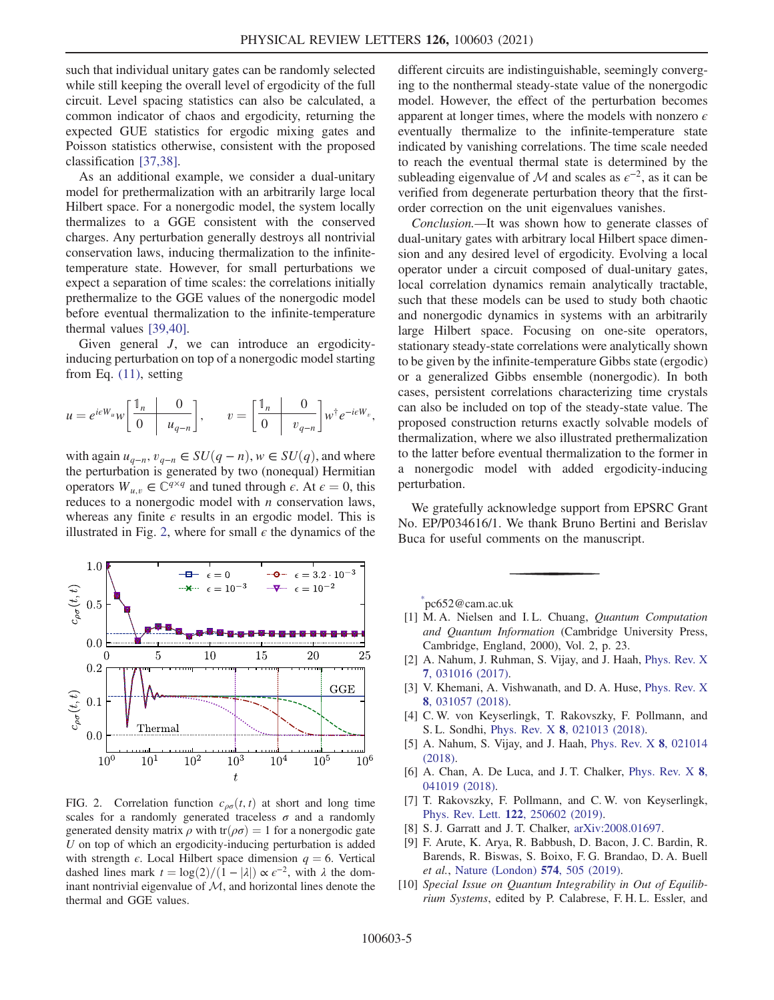such that individual unitary gates can be randomly selected while still keeping the overall level of ergodicity of the full circuit. Level spacing statistics can also be calculated, a common indicator of chaos and ergodicity, returning the expected GUE statistics for ergodic mixing gates and Poisson statistics otherwise, consistent with the proposed classification [\[37,38\]](#page-5-17).

As an additional example, we consider a dual-unitary model for prethermalization with an arbitrarily large local Hilbert space. For a nonergodic model, the system locally thermalizes to a GGE consistent with the conserved charges. Any perturbation generally destroys all nontrivial conservation laws, inducing thermalization to the infinitetemperature state. However, for small perturbations we expect a separation of time scales: the correlations initially prethermalize to the GGE values of the nonergodic model before eventual thermalization to the infinite-temperature thermal values [\[39,40\].](#page-5-18)

Given general *J*, we can introduce an ergodicityinducing perturbation on top of a nonergodic model starting from Eq. [\(11\),](#page-2-1) setting

$$
u = e^{i\epsilon W_u} w \left[ \begin{array}{c|c} \mathbb{1}_n & 0 \\ \hline 0 & u_{q-n} \end{array} \right], \qquad v = \left[ \begin{array}{c|c} \mathbb{1}_n & 0 \\ \hline 0 & v_{q-n} \end{array} \right] w^{\dagger} e^{-i\epsilon W_v},
$$

with again  $u_{q-n}, v_{q-n} \in SU(q-n), w \in SU(q)$ , and where the perturbation is generated by two (nonequal) Hermitian operators  $W_{u,v} \in \mathbb{C}^{q \times q}$  and tuned through  $\epsilon$ . At  $\epsilon = 0$ , this reduces to a nonergodic model with  $n$  conservation laws, whereas any finite  $\epsilon$  results in an ergodic model. This is illustrated in Fig. [2](#page-4-5), where for small  $\epsilon$  the dynamics of the

<span id="page-4-5"></span>

FIG. 2. Correlation function  $c_{\rho\sigma}(t, t)$  at short and long time scales for a randomly generated traceless  $\sigma$  and a randomly generated density matrix  $\rho$  with tr $(\rho \sigma) = 1$  for a nonergodic gate U on top of which an ergodicity-inducing perturbation is added with strength  $\epsilon$ . Local Hilbert space dimension  $q = 6$ . Vertical dashed lines mark  $t = \log(2)/(1 - |\lambda|) \propto \epsilon^{-2}$ , with  $\lambda$  the dominant nontrivial eigenvalue of  $M$ , and horizontal lines denote the thermal and GGE values.

different circuits are indistinguishable, seemingly converging to the nonthermal steady-state value of the nonergodic model. However, the effect of the perturbation becomes apparent at longer times, where the models with nonzero  $\epsilon$ eventually thermalize to the infinite-temperature state indicated by vanishing correlations. The time scale needed to reach the eventual thermal state is determined by the subleading eigenvalue of M and scales as  $\epsilon^{-2}$ , as it can be verified from degenerate perturbation theory that the firstorder correction on the unit eigenvalues vanishes.

Conclusion.—It was shown how to generate classes of dual-unitary gates with arbitrary local Hilbert space dimension and any desired level of ergodicity. Evolving a local operator under a circuit composed of dual-unitary gates, local correlation dynamics remain analytically tractable, such that these models can be used to study both chaotic and nonergodic dynamics in systems with an arbitrarily large Hilbert space. Focusing on one-site operators, stationary steady-state correlations were analytically shown to be given by the infinite-temperature Gibbs state (ergodic) or a generalized Gibbs ensemble (nonergodic). In both cases, persistent correlations characterizing time crystals can also be included on top of the steady-state value. The proposed construction returns exactly solvable models of thermalization, where we also illustrated prethermalization to the latter before eventual thermalization to the former in a nonergodic model with added ergodicity-inducing perturbation.

We gratefully acknowledge support from EPSRC Grant No. EP/P034616/1. We thank Bruno Bertini and Berislav Buca for useful comments on the manuscript.

<span id="page-4-1"></span><span id="page-4-0"></span>[\\*](#page-0-0) pc652@cam.ac.uk

- <span id="page-4-2"></span>[1] M. A. Nielsen and I. L. Chuang, Quantum Computation and Quantum Information (Cambridge University Press, Cambridge, England, 2000), Vol. 2, p. 23.
- [2] A. Nahum, J. Ruhman, S. Vijay, and J. Haah, [Phys. Rev. X](https://doi.org/10.1103/PhysRevX.7.031016) 7[, 031016 \(2017\)](https://doi.org/10.1103/PhysRevX.7.031016).
- [3] V. Khemani, A. Vishwanath, and D. A. Huse, [Phys. Rev. X](https://doi.org/10.1103/PhysRevX.8.031057) 8[, 031057 \(2018\)](https://doi.org/10.1103/PhysRevX.8.031057).
- [4] C. W. von Keyserlingk, T. Rakovszky, F. Pollmann, and S. L. Sondhi, Phys. Rev. X 8[, 021013 \(2018\)](https://doi.org/10.1103/PhysRevX.8.021013).
- [5] A. Nahum, S. Vijay, and J. Haah, [Phys. Rev. X](https://doi.org/10.1103/PhysRevX.8.021014) 8, 021014 [\(2018\).](https://doi.org/10.1103/PhysRevX.8.021014)
- [6] A. Chan, A. De Luca, and J. T. Chalker, [Phys. Rev. X](https://doi.org/10.1103/PhysRevX.8.041019) 8, [041019 \(2018\).](https://doi.org/10.1103/PhysRevX.8.041019)
- <span id="page-4-3"></span>[7] T. Rakovszky, F. Pollmann, and C. W. von Keyserlingk, Phys. Rev. Lett. 122[, 250602 \(2019\).](https://doi.org/10.1103/PhysRevLett.122.250602)
- [8] S. J. Garratt and J. T. Chalker, arXiv: 2008.01697.
- <span id="page-4-4"></span>[9] F. Arute, K. Arya, R. Babbush, D. Bacon, J. C. Bardin, R. Barends, R. Biswas, S. Boixo, F. G. Brandao, D. A. Buell et al., [Nature \(London\)](https://doi.org/10.1038/s41586-019-1666-5) 574, 505 (2019).
- [10] Special Issue on Quantum Integrability in Out of Equilibrium Systems, edited by P. Calabrese, F. H. L. Essler, and